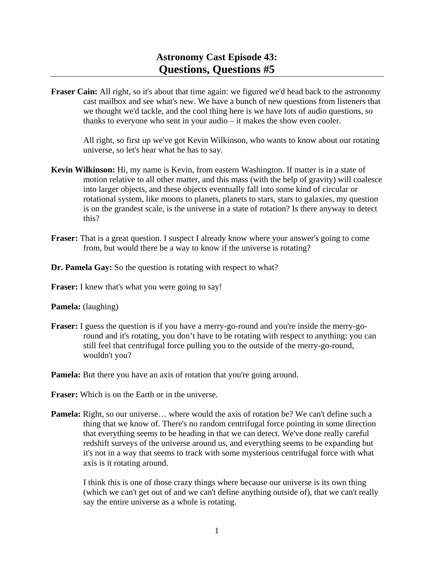**Fraser Cain:** All right, so it's about that time again: we figured we'd head back to the astronomy cast mailbox and see what's new. We have a bunch of new questions from listeners that we thought we'd tackle, and the cool thing here is we have lots of audio questions, so thanks to everyone who sent in your audio – it makes the show even cooler.

 All right, so first up we've got Kevin Wilkinson, who wants to know about our rotating universe, so let's hear what he has to say.

- **Kevin Wilkinson:** Hi, my name is Kevin, from eastern Washington. If matter is in a state of motion relative to all other matter, and this mass (with the help of gravity) will coalesce into larger objects, and these objects eventually fall into some kind of circular or rotational system, like moons to planets, planets to stars, stars to galaxies, my question is on the grandest scale, is the universe in a state of rotation? Is there anyway to detect this?
- **Fraser:** That is a great question. I suspect I already know where your answer's going to come from, but would there be a way to know if the universe is rotating?
- **Dr. Pamela Gay:** So the question is rotating with respect to what?
- Fraser: I knew that's what you were going to say!

**Pamela:** (laughing)

- **Fraser:** I guess the question is if you have a merry-go-round and you're inside the merry-goround and it's rotating, you don't have to be rotating with respect to anything: you can still feel that centrifugal force pulling you to the outside of the merry-go-round, wouldn't you?
- **Pamela:** But there you have an axis of rotation that you're going around.
- **Fraser:** Which is on the Earth or in the universe.
- **Pamela:** Right, so our universe… where would the axis of rotation be? We can't define such a thing that we know of. There's no random centrifugal force pointing in some direction that everything seems to be heading in that we can detect. We've done really careful redshift surveys of the universe around us, and everything seems to be expanding but it's not in a way that seems to track with some mysterious centrifugal force with what axis is it rotating around.

 I think this is one of those crazy things where because our universe is its own thing (which we can't get out of and we can't define anything outside of), that we can't really say the entire universe as a whole is rotating.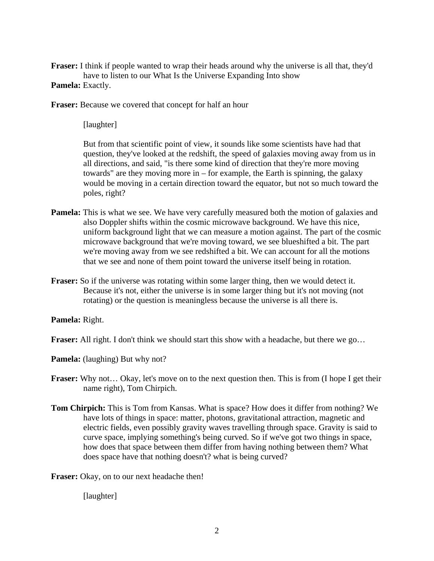**Fraser:** I think if people wanted to wrap their heads around why the universe is all that, they'd have to listen to our What Is the Universe Expanding Into show

## **Pamela:** Exactly.

**Fraser:** Because we covered that concept for half an hour

[laughter]

 But from that scientific point of view, it sounds like some scientists have had that question, they've looked at the redshift, the speed of galaxies moving away from us in all directions, and said, "is there some kind of direction that they're more moving towards" are they moving more in – for example, the Earth is spinning, the galaxy would be moving in a certain direction toward the equator, but not so much toward the poles, right?

- **Pamela:** This is what we see. We have very carefully measured both the motion of galaxies and also Doppler shifts within the cosmic microwave background. We have this nice, uniform background light that we can measure a motion against. The part of the cosmic microwave background that we're moving toward, we see blueshifted a bit. The part we're moving away from we see redshifted a bit. We can account for all the motions that we see and none of them point toward the universe itself being in rotation.
- **Fraser:** So if the universe was rotating within some larger thing, then we would detect it. Because it's not, either the universe is in some larger thing but it's not moving (not rotating) or the question is meaningless because the universe is all there is.

**Pamela:** Right.

**Fraser:** All right. I don't think we should start this show with a headache, but there we go...

**Pamela:** (laughing) But why not?

- **Fraser:** Why not... Okay, let's move on to the next question then. This is from (I hope I get their name right), Tom Chirpich.
- **Tom Chirpich:** This is Tom from Kansas. What is space? How does it differ from nothing? We have lots of things in space: matter, photons, gravitational attraction, magnetic and electric fields, even possibly gravity waves travelling through space. Gravity is said to curve space, implying something's being curved. So if we've got two things in space, how does that space between them differ from having nothing between them? What does space have that nothing doesn't? what is being curved?

**Fraser:** Okay, on to our next headache then!

[laughter]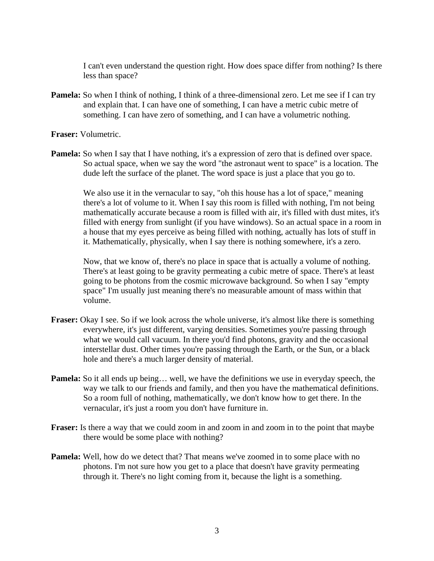I can't even understand the question right. How does space differ from nothing? Is there less than space?

**Pamela:** So when I think of nothing, I think of a three-dimensional zero. Let me see if I can try and explain that. I can have one of something, I can have a metric cubic metre of something. I can have zero of something, and I can have a volumetric nothing.

**Fraser:** Volumetric.

**Pamela:** So when I say that I have nothing, it's a expression of zero that is defined over space. So actual space, when we say the word "the astronaut went to space" is a location. The dude left the surface of the planet. The word space is just a place that you go to.

 We also use it in the vernacular to say, "oh this house has a lot of space," meaning there's a lot of volume to it. When I say this room is filled with nothing, I'm not being mathematically accurate because a room is filled with air, it's filled with dust mites, it's filled with energy from sunlight (if you have windows). So an actual space in a room in a house that my eyes perceive as being filled with nothing, actually has lots of stuff in it. Mathematically, physically, when I say there is nothing somewhere, it's a zero.

 Now, that we know of, there's no place in space that is actually a volume of nothing. There's at least going to be gravity permeating a cubic metre of space. There's at least going to be photons from the cosmic microwave background. So when I say "empty space" I'm usually just meaning there's no measurable amount of mass within that volume.

- **Fraser:** Okay I see. So if we look across the whole universe, it's almost like there is something everywhere, it's just different, varying densities. Sometimes you're passing through what we would call vacuum. In there you'd find photons, gravity and the occasional interstellar dust. Other times you're passing through the Earth, or the Sun, or a black hole and there's a much larger density of material.
- **Pamela:** So it all ends up being... well, we have the definitions we use in everyday speech, the way we talk to our friends and family, and then you have the mathematical definitions. So a room full of nothing, mathematically, we don't know how to get there. In the vernacular, it's just a room you don't have furniture in.
- **Fraser:** Is there a way that we could zoom in and zoom in and zoom in to the point that maybe there would be some place with nothing?
- **Pamela:** Well, how do we detect that? That means we've zoomed in to some place with no photons. I'm not sure how you get to a place that doesn't have gravity permeating through it. There's no light coming from it, because the light is a something.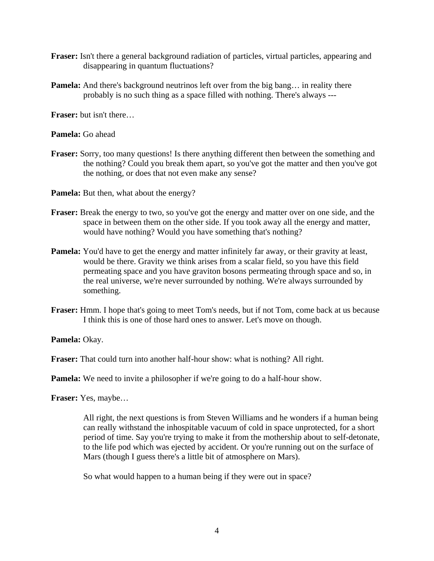- **Fraser:** Isn't there a general background radiation of particles, virtual particles, appearing and disappearing in quantum fluctuations?
- **Pamela:** And there's background neutrinos left over from the big bang... in reality there probably is no such thing as a space filled with nothing. There's always ---

**Fraser:** but isn't there…

**Pamela:** Go ahead

- **Fraser:** Sorry, too many questions! Is there anything different then between the something and the nothing? Could you break them apart, so you've got the matter and then you've got the nothing, or does that not even make any sense?
- **Pamela:** But then, what about the energy?
- **Fraser:** Break the energy to two, so you've got the energy and matter over on one side, and the space in between them on the other side. If you took away all the energy and matter, would have nothing? Would you have something that's nothing?
- **Pamela:** You'd have to get the energy and matter infinitely far away, or their gravity at least, would be there. Gravity we think arises from a scalar field, so you have this field permeating space and you have graviton bosons permeating through space and so, in the real universe, we're never surrounded by nothing. We're always surrounded by something.
- **Fraser:** Hmm. I hope that's going to meet Tom's needs, but if not Tom, come back at us because I think this is one of those hard ones to answer. Let's move on though.

**Pamela:** Okay.

**Fraser:** That could turn into another half-hour show: what is nothing? All right.

**Pamela:** We need to invite a philosopher if we're going to do a half-hour show.

**Fraser:** Yes, maybe…

 All right, the next questions is from Steven Williams and he wonders if a human being can really withstand the inhospitable vacuum of cold in space unprotected, for a short period of time. Say you're trying to make it from the mothership about to self-detonate, to the life pod which was ejected by accident. Or you're running out on the surface of Mars (though I guess there's a little bit of atmosphere on Mars).

So what would happen to a human being if they were out in space?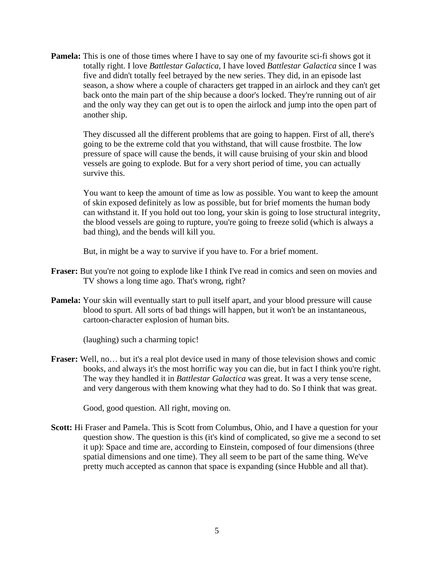**Pamela:** This is one of those times where I have to say one of my favourite sci-fi shows got it totally right. I love *Battlestar Galactica*, I have loved *Battlestar Galactica* since I was five and didn't totally feel betrayed by the new series. They did, in an episode last season, a show where a couple of characters get trapped in an airlock and they can't get back onto the main part of the ship because a door's locked. They're running out of air and the only way they can get out is to open the airlock and jump into the open part of another ship.

 They discussed all the different problems that are going to happen. First of all, there's going to be the extreme cold that you withstand, that will cause frostbite. The low pressure of space will cause the bends, it will cause bruising of your skin and blood vessels are going to explode. But for a very short period of time, you can actually survive this.

 You want to keep the amount of time as low as possible. You want to keep the amount of skin exposed definitely as low as possible, but for brief moments the human body can withstand it. If you hold out too long, your skin is going to lose structural integrity, the blood vessels are going to rupture, you're going to freeze solid (which is always a bad thing), and the bends will kill you.

But, in might be a way to survive if you have to. For a brief moment.

- **Fraser:** But you're not going to explode like I think I've read in comics and seen on movies and TV shows a long time ago. That's wrong, right?
- **Pamela:** Your skin will eventually start to pull itself apart, and your blood pressure will cause blood to spurt. All sorts of bad things will happen, but it won't be an instantaneous, cartoon-character explosion of human bits.

(laughing) such a charming topic!

**Fraser:** Well, no... but it's a real plot device used in many of those television shows and comic books, and always it's the most horrific way you can die, but in fact I think you're right. The way they handled it in *Battlestar Galactica* was great. It was a very tense scene, and very dangerous with them knowing what they had to do. So I think that was great.

Good, good question. All right, moving on.

**Scott:** Hi Fraser and Pamela. This is Scott from Columbus, Ohio, and I have a question for your question show. The question is this (it's kind of complicated, so give me a second to set it up): Space and time are, according to Einstein, composed of four dimensions (three spatial dimensions and one time). They all seem to be part of the same thing. We've pretty much accepted as cannon that space is expanding (since Hubble and all that).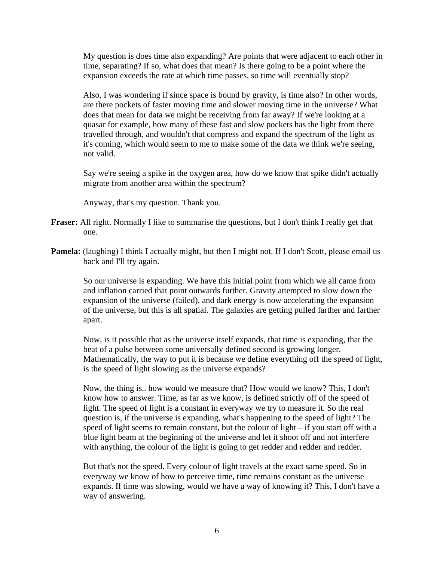My question is does time also expanding? Are points that were adjacent to each other in time, separating? If so, what does that mean? Is there going to be a point where the expansion exceeds the rate at which time passes, so time will eventually stop?

 Also, I was wondering if since space is bound by gravity, is time also? In other words, are there pockets of faster moving time and slower moving time in the universe? What does that mean for data we might be receiving from far away? If we're looking at a quasar for example, how many of these fast and slow pockets has the light from there travelled through, and wouldn't that compress and expand the spectrum of the light as it's coming, which would seem to me to make some of the data we think we're seeing, not valid.

 Say we're seeing a spike in the oxygen area, how do we know that spike didn't actually migrate from another area within the spectrum?

Anyway, that's my question. Thank you.

- **Fraser:** All right. Normally I like to summarise the questions, but I don't think I really get that one.
- **Pamela:** (laughing) I think I actually might, but then I might not. If I don't Scott, please email us back and I'll try again.

 So our universe is expanding. We have this initial point from which we all came from and inflation carried that point outwards further. Gravity attempted to slow down the expansion of the universe (failed), and dark energy is now accelerating the expansion of the universe, but this is all spatial. The galaxies are getting pulled farther and farther apart.

 Now, is it possible that as the universe itself expands, that time is expanding, that the beat of a pulse between some universally defined second is growing longer. Mathematically, the way to put it is because we define everything off the speed of light, is the speed of light slowing as the universe expands?

 Now, the thing is.. how would we measure that? How would we know? This, I don't know how to answer. Time, as far as we know, is defined strictly off of the speed of light. The speed of light is a constant in everyway we try to measure it. So the real question is, if the universe is expanding, what's happening to the speed of light? The speed of light seems to remain constant, but the colour of light – if you start off with a blue light beam at the beginning of the universe and let it shoot off and not interfere with anything, the colour of the light is going to get redder and redder and redder.

 But that's not the speed. Every colour of light travels at the exact same speed. So in everyway we know of how to perceive time, time remains constant as the universe expands. If time was slowing, would we have a way of knowing it? This, I don't have a way of answering.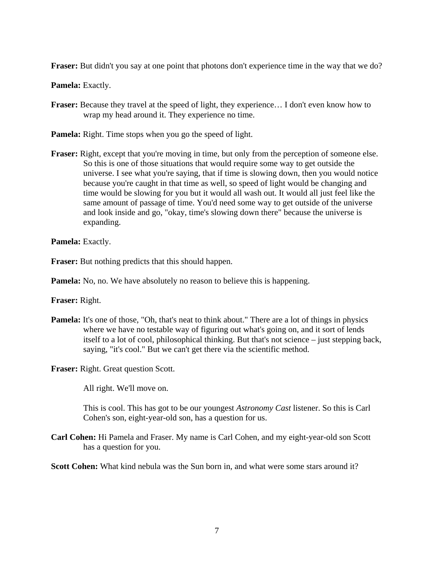**Fraser:** But didn't you say at one point that photons don't experience time in the way that we do?

**Pamela:** Exactly.

- **Fraser:** Because they travel at the speed of light, they experience... I don't even know how to wrap my head around it. They experience no time.
- **Pamela:** Right. Time stops when you go the speed of light.
- **Fraser:** Right, except that you're moving in time, but only from the perception of someone else. So this is one of those situations that would require some way to get outside the universe. I see what you're saying, that if time is slowing down, then you would notice because you're caught in that time as well, so speed of light would be changing and time would be slowing for you but it would all wash out. It would all just feel like the same amount of passage of time. You'd need some way to get outside of the universe and look inside and go, "okay, time's slowing down there" because the universe is expanding.

**Pamela:** Exactly.

**Fraser:** But nothing predicts that this should happen.

**Pamela:** No, no. We have absolutely no reason to believe this is happening.

**Fraser:** Right.

**Pamela:** It's one of those, "Oh, that's neat to think about." There are a lot of things in physics where we have no testable way of figuring out what's going on, and it sort of lends itself to a lot of cool, philosophical thinking. But that's not science – just stepping back, saying, "it's cool." But we can't get there via the scientific method.

**Fraser:** Right. Great question Scott.

All right. We'll move on.

 This is cool. This has got to be our youngest *Astronomy Cast* listener. So this is Carl Cohen's son, eight-year-old son, has a question for us.

**Carl Cohen:** Hi Pamela and Fraser. My name is Carl Cohen, and my eight-year-old son Scott has a question for you.

**Scott Cohen:** What kind nebula was the Sun born in, and what were some stars around it?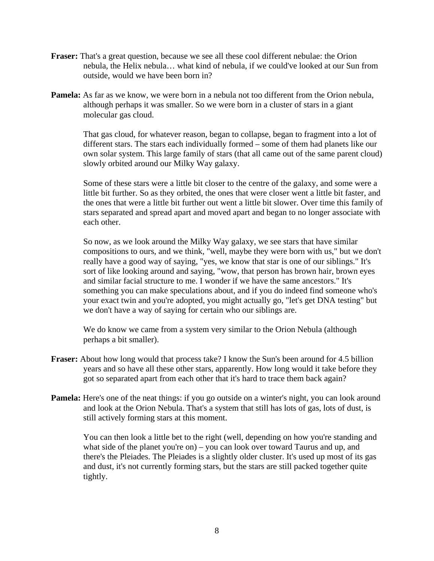- **Fraser:** That's a great question, because we see all these cool different nebulae: the Orion nebula, the Helix nebula… what kind of nebula, if we could've looked at our Sun from outside, would we have been born in?
- **Pamela:** As far as we know, we were born in a nebula not too different from the Orion nebula, although perhaps it was smaller. So we were born in a cluster of stars in a giant molecular gas cloud.

 That gas cloud, for whatever reason, began to collapse, began to fragment into a lot of different stars. The stars each individually formed – some of them had planets like our own solar system. This large family of stars (that all came out of the same parent cloud) slowly orbited around our Milky Way galaxy.

 Some of these stars were a little bit closer to the centre of the galaxy, and some were a little bit further. So as they orbited, the ones that were closer went a little bit faster, and the ones that were a little bit further out went a little bit slower. Over time this family of stars separated and spread apart and moved apart and began to no longer associate with each other.

 So now, as we look around the Milky Way galaxy, we see stars that have similar compositions to ours, and we think, "well, maybe they were born with us," but we don't really have a good way of saying, "yes, we know that star is one of our siblings." It's sort of like looking around and saying, "wow, that person has brown hair, brown eyes and similar facial structure to me. I wonder if we have the same ancestors." It's something you can make speculations about, and if you do indeed find someone who's your exact twin and you're adopted, you might actually go, "let's get DNA testing" but we don't have a way of saying for certain who our siblings are.

 We do know we came from a system very similar to the Orion Nebula (although perhaps a bit smaller).

- **Fraser:** About how long would that process take? I know the Sun's been around for 4.5 billion years and so have all these other stars, apparently. How long would it take before they got so separated apart from each other that it's hard to trace them back again?
- **Pamela:** Here's one of the neat things: if you go outside on a winter's night, you can look around and look at the Orion Nebula. That's a system that still has lots of gas, lots of dust, is still actively forming stars at this moment.

 You can then look a little bet to the right (well, depending on how you're standing and what side of the planet you're on) – you can look over toward Taurus and up, and there's the Pleiades. The Pleiades is a slightly older cluster. It's used up most of its gas and dust, it's not currently forming stars, but the stars are still packed together quite tightly.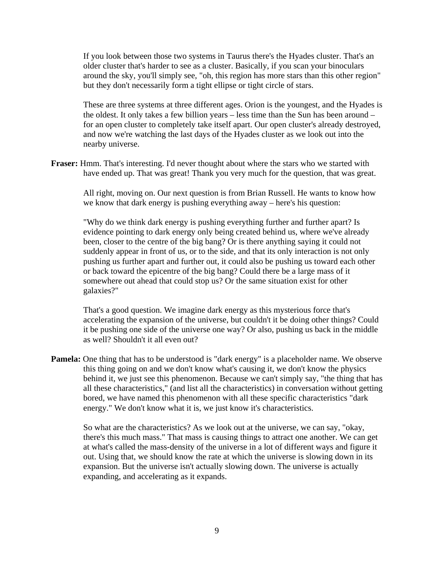If you look between those two systems in Taurus there's the Hyades cluster. That's an older cluster that's harder to see as a cluster. Basically, if you scan your binoculars around the sky, you'll simply see, "oh, this region has more stars than this other region" but they don't necessarily form a tight ellipse or tight circle of stars.

 These are three systems at three different ages. Orion is the youngest, and the Hyades is the oldest. It only takes a few billion years – less time than the Sun has been around – for an open cluster to completely take itself apart. Our open cluster's already destroyed, and now we're watching the last days of the Hyades cluster as we look out into the nearby universe.

**Fraser:** Hmm. That's interesting. I'd never thought about where the stars who we started with have ended up. That was great! Thank you very much for the question, that was great.

 All right, moving on. Our next question is from Brian Russell. He wants to know how we know that dark energy is pushing everything away – here's his question:

 "Why do we think dark energy is pushing everything further and further apart? Is evidence pointing to dark energy only being created behind us, where we've already been, closer to the centre of the big bang? Or is there anything saying it could not suddenly appear in front of us, or to the side, and that its only interaction is not only pushing us further apart and further out, it could also be pushing us toward each other or back toward the epicentre of the big bang? Could there be a large mass of it somewhere out ahead that could stop us? Or the same situation exist for other galaxies?"

 That's a good question. We imagine dark energy as this mysterious force that's accelerating the expansion of the universe, but couldn't it be doing other things? Could it be pushing one side of the universe one way? Or also, pushing us back in the middle as well? Shouldn't it all even out?

**Pamela:** One thing that has to be understood is "dark energy" is a placeholder name. We observe this thing going on and we don't know what's causing it, we don't know the physics behind it, we just see this phenomenon. Because we can't simply say, "the thing that has all these characteristics," (and list all the characteristics) in conversation without getting bored, we have named this phenomenon with all these specific characteristics "dark energy." We don't know what it is, we just know it's characteristics.

 So what are the characteristics? As we look out at the universe, we can say, "okay, there's this much mass." That mass is causing things to attract one another. We can get at what's called the mass-density of the universe in a lot of different ways and figure it out. Using that, we should know the rate at which the universe is slowing down in its expansion. But the universe isn't actually slowing down. The universe is actually expanding, and accelerating as it expands.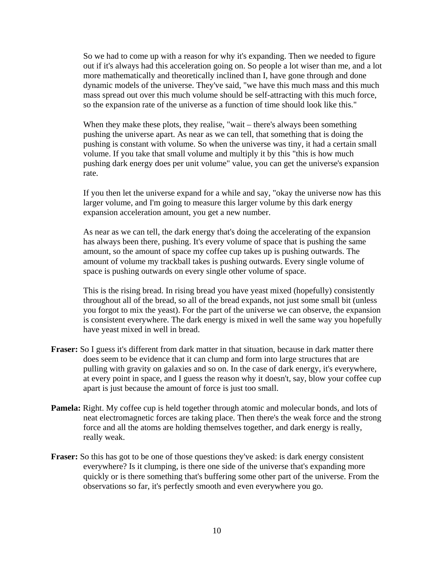So we had to come up with a reason for why it's expanding. Then we needed to figure out if it's always had this acceleration going on. So people a lot wiser than me, and a lot more mathematically and theoretically inclined than I, have gone through and done dynamic models of the universe. They've said, "we have this much mass and this much mass spread out over this much volume should be self-attracting with this much force, so the expansion rate of the universe as a function of time should look like this."

When they make these plots, they realise, "wait – there's always been something pushing the universe apart. As near as we can tell, that something that is doing the pushing is constant with volume. So when the universe was tiny, it had a certain small volume. If you take that small volume and multiply it by this "this is how much pushing dark energy does per unit volume" value, you can get the universe's expansion rate.

 If you then let the universe expand for a while and say, "okay the universe now has this larger volume, and I'm going to measure this larger volume by this dark energy expansion acceleration amount, you get a new number.

 As near as we can tell, the dark energy that's doing the accelerating of the expansion has always been there, pushing. It's every volume of space that is pushing the same amount, so the amount of space my coffee cup takes up is pushing outwards. The amount of volume my trackball takes is pushing outwards. Every single volume of space is pushing outwards on every single other volume of space.

 This is the rising bread. In rising bread you have yeast mixed (hopefully) consistently throughout all of the bread, so all of the bread expands, not just some small bit (unless you forgot to mix the yeast). For the part of the universe we can observe, the expansion is consistent everywhere. The dark energy is mixed in well the same way you hopefully have yeast mixed in well in bread.

- **Fraser:** So I guess it's different from dark matter in that situation, because in dark matter there does seem to be evidence that it can clump and form into large structures that are pulling with gravity on galaxies and so on. In the case of dark energy, it's everywhere, at every point in space, and I guess the reason why it doesn't, say, blow your coffee cup apart is just because the amount of force is just too small.
- **Pamela:** Right. My coffee cup is held together through atomic and molecular bonds, and lots of neat electromagnetic forces are taking place. Then there's the weak force and the strong force and all the atoms are holding themselves together, and dark energy is really, really weak.
- **Fraser:** So this has got to be one of those questions they've asked: is dark energy consistent everywhere? Is it clumping, is there one side of the universe that's expanding more quickly or is there something that's buffering some other part of the universe. From the observations so far, it's perfectly smooth and even everywhere you go.